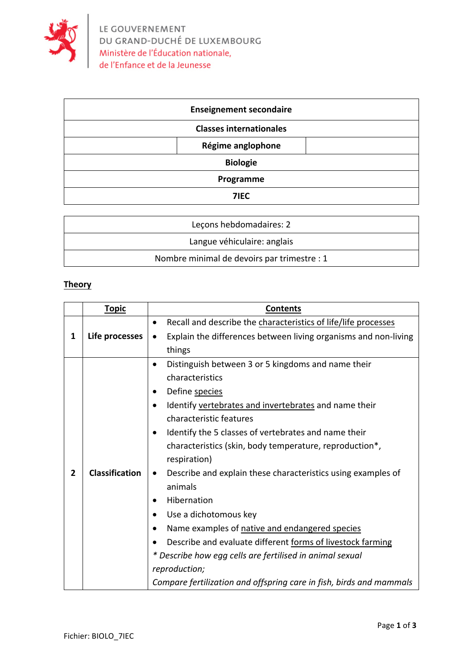

| <b>Enseignement secondaire</b> |                   |  |
|--------------------------------|-------------------|--|
| <b>Classes internationales</b> |                   |  |
|                                | Régime anglophone |  |
| <b>Biologie</b>                |                   |  |
| Programme                      |                   |  |
| <b>7IEC</b>                    |                   |  |

| Lecons hebdomadaires: 2                     |
|---------------------------------------------|
| Langue véhiculaire: anglais                 |
| Nombre minimal de devoirs par trimestre : 1 |

## **Theory**

|                | <b>Topic</b>          | <b>Contents</b>                                                      |
|----------------|-----------------------|----------------------------------------------------------------------|
|                |                       | Recall and describe the characteristics of life/life processes<br>٠  |
| 1              | Life processes        | Explain the differences between living organisms and non-living<br>٠ |
|                |                       | things                                                               |
|                |                       | Distinguish between 3 or 5 kingdoms and name their<br>$\bullet$      |
|                |                       | characteristics                                                      |
|                |                       | Define species                                                       |
|                |                       | Identify vertebrates and invertebrates and name their                |
|                |                       | characteristic features                                              |
|                |                       | Identify the 5 classes of vertebrates and name their                 |
|                |                       | characteristics (skin, body temperature, reproduction*,              |
|                |                       | respiration)                                                         |
| $\overline{2}$ | <b>Classification</b> | Describe and explain these characteristics using examples of<br>٠    |
|                |                       | animals                                                              |
|                |                       | Hibernation<br>٠                                                     |
|                |                       | Use a dichotomous key                                                |
|                |                       | Name examples of native and endangered species                       |
|                |                       | Describe and evaluate different forms of livestock farming           |
|                |                       | * Describe how egg cells are fertilised in animal sexual             |
|                |                       | reproduction;                                                        |
|                |                       | Compare fertilization and offspring care in fish, birds and mammals  |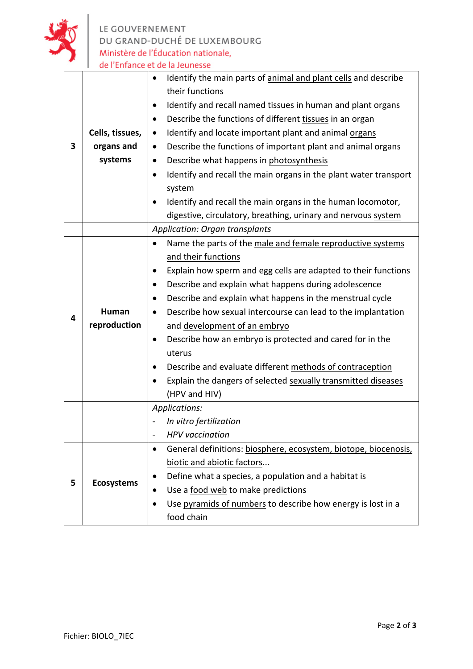

LE GOUVERNEMENT<br>DU GRAND-DUCHÉ DE LUXEMBOURG<br>Ministère de l'Éducation nationale,<br>de l'Enfance et de la Jeunesse

|   |                                       | Identify the main parts of animal and plant cells and describe<br>$\bullet$<br>their functions |  |
|---|---------------------------------------|------------------------------------------------------------------------------------------------|--|
|   |                                       | Identify and recall named tissues in human and plant organs<br>$\bullet$                       |  |
|   |                                       | Describe the functions of different tissues in an organ<br>$\bullet$                           |  |
|   | Cells, tissues,                       | Identify and locate important plant and animal organs<br>$\bullet$                             |  |
| 3 | organs and                            | Describe the functions of important plant and animal organs<br>$\bullet$                       |  |
|   | systems                               | Describe what happens in photosynthesis<br>$\bullet$                                           |  |
|   |                                       | Identify and recall the main organs in the plant water transport<br>$\bullet$                  |  |
|   |                                       | system                                                                                         |  |
|   |                                       | Identify and recall the main organs in the human locomotor,                                    |  |
|   |                                       | digestive, circulatory, breathing, urinary and nervous system                                  |  |
|   | <b>Application: Organ transplants</b> |                                                                                                |  |
|   |                                       | Name the parts of the male and female reproductive systems<br>$\bullet$                        |  |
|   |                                       | and their functions                                                                            |  |
|   |                                       | Explain how sperm and egg cells are adapted to their functions                                 |  |
|   |                                       | Describe and explain what happens during adolescence<br>$\bullet$                              |  |
|   |                                       | Describe and explain what happens in the menstrual cycle<br>$\bullet$                          |  |
| 4 | Human                                 | Describe how sexual intercourse can lead to the implantation<br>$\bullet$                      |  |
|   | reproduction                          | and development of an embryo                                                                   |  |
|   |                                       | Describe how an embryo is protected and cared for in the<br>٠                                  |  |
|   |                                       | uterus                                                                                         |  |
|   |                                       | Describe and evaluate different methods of contraception<br>٠                                  |  |
|   |                                       | Explain the dangers of selected sexually transmitted diseases                                  |  |
|   |                                       | (HPV and HIV)                                                                                  |  |
|   |                                       | Applications:                                                                                  |  |
|   |                                       | In vitro fertilization                                                                         |  |
|   |                                       | <b>HPV</b> vaccination                                                                         |  |
|   |                                       | General definitions: biosphere, ecosystem, biotope, biocenosis,<br>$\bullet$                   |  |
|   | <b>Ecosystems</b>                     | biotic and abiotic factors                                                                     |  |
| 5 |                                       | Define what a species, a population and a habitat is<br>٠                                      |  |
|   |                                       | Use a food web to make predictions                                                             |  |
|   |                                       | Use pyramids of numbers to describe how energy is lost in a                                    |  |
|   |                                       | food chain                                                                                     |  |